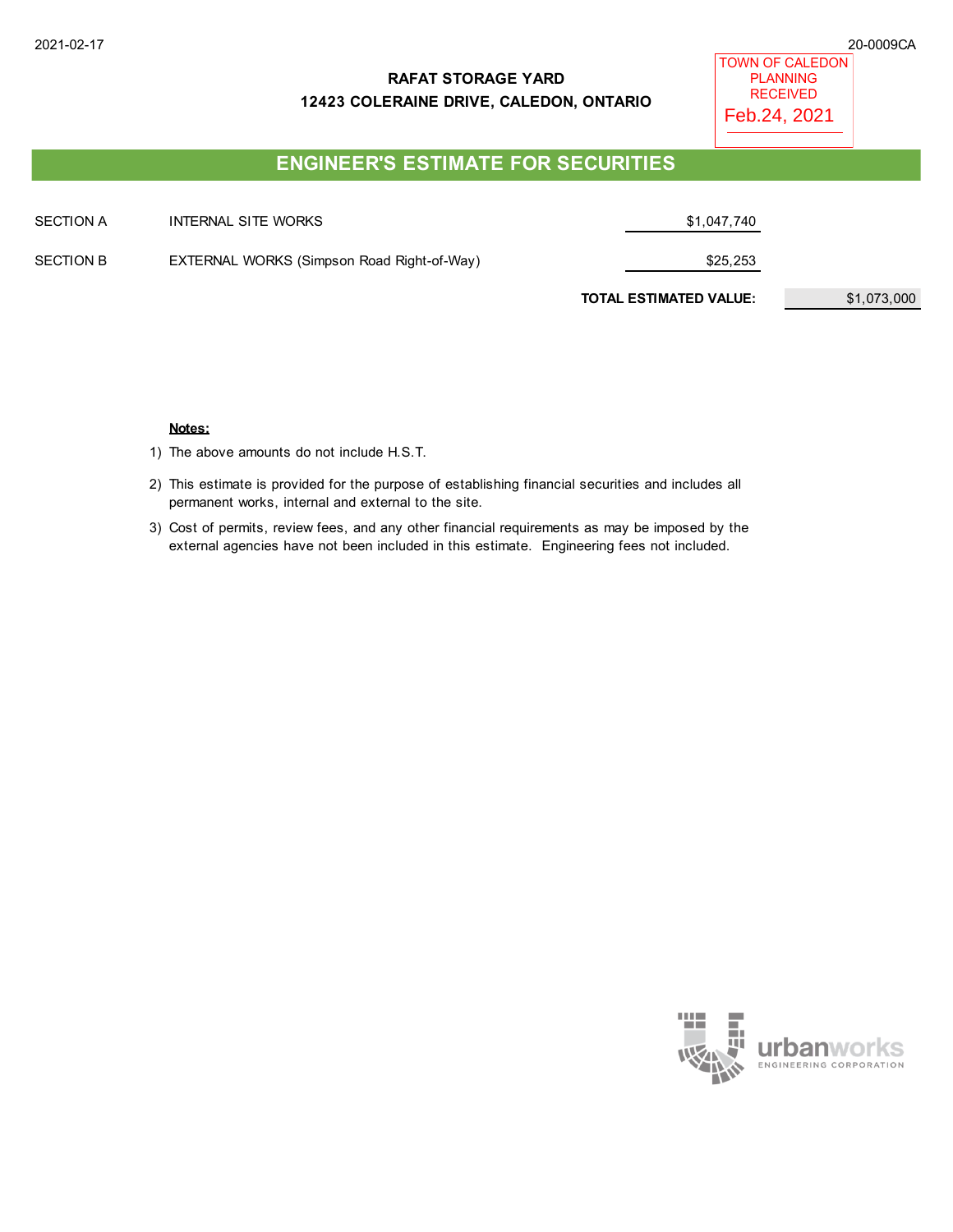## **RAFAT STORAGE YARD 12423 COLERAINE DRIVE, CALEDON, ONTARIO**

TOWN OF CALEDON PLANNING RECEIVED Feb.24, 2021

# **ENGINEER'S ESTIMATE FOR SECURITIES**

| <b>SECTION A</b> | INTERNAL SITE WORKS                        | \$1,047,740                   |             |
|------------------|--------------------------------------------|-------------------------------|-------------|
| <b>SECTION B</b> | EXTERNAL WORKS (Simpson Road Right-of-Way) | \$25,253                      |             |
|                  |                                            | <b>TOTAL ESTIMATED VALUE:</b> | \$1,073,000 |

#### **Notes:**

1) The above amounts do not include H.S.T.

- 2) This estimate is provided for the purpose of establishing financial securities and includes all permanent works, internal and external to the site.
- 3) Cost of permits, review fees, and any other financial requirements as may be imposed by the external agencies have not been included in this estimate. Engineering fees not included.

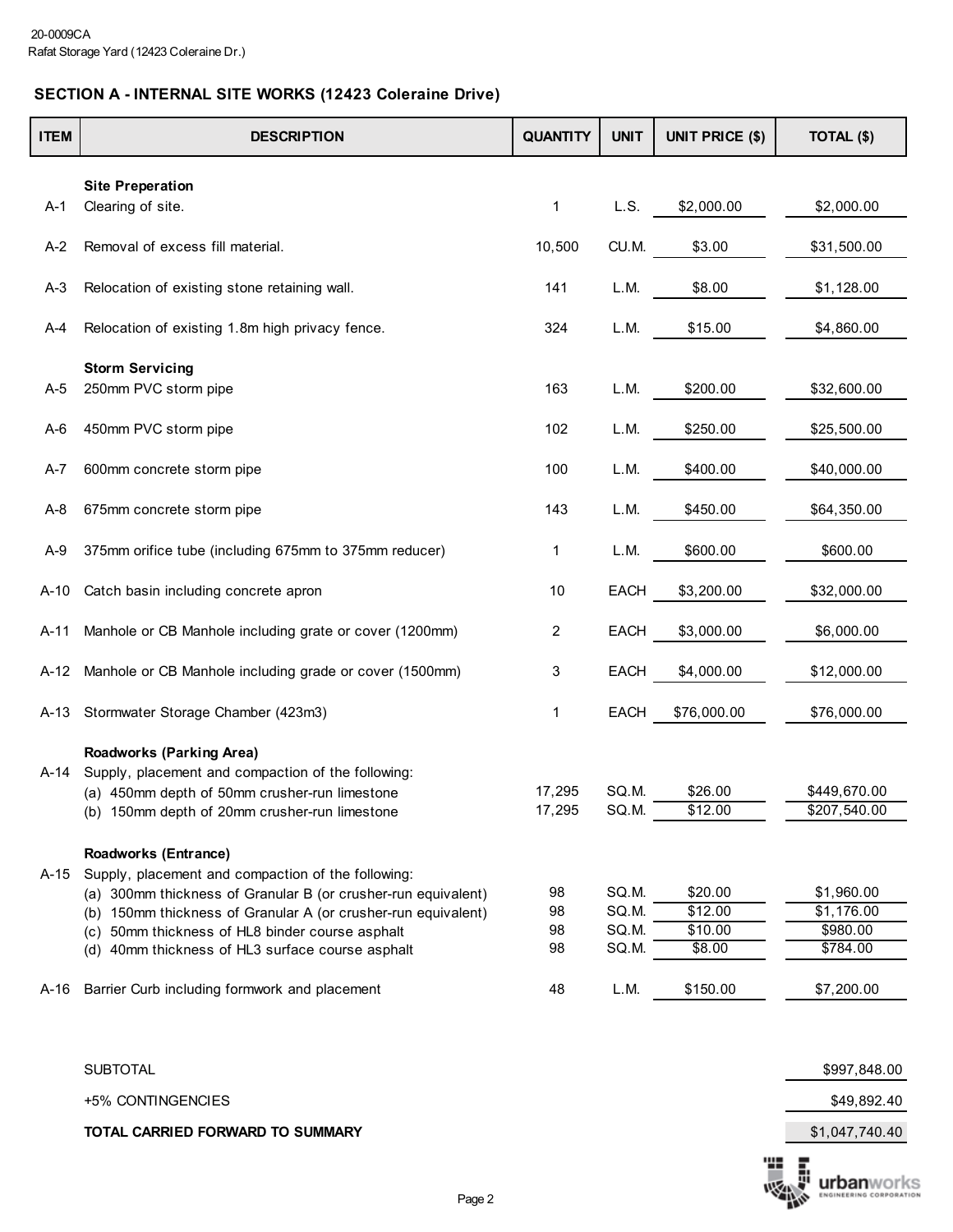## **SECTION A - INTERNAL SITE WORKS (12423 Coleraine Drive)**

| <b>ITEM</b> | <b>DESCRIPTION</b>                                               | <b>QUANTITY</b> | <b>UNIT</b> | UNIT PRICE (\$) | TOTAL (\$)   |
|-------------|------------------------------------------------------------------|-----------------|-------------|-----------------|--------------|
|             | <b>Site Preperation</b>                                          |                 |             |                 |              |
| A-1         | Clearing of site.                                                | 1               | L.S.        | \$2,000.00      | \$2,000.00   |
| A-2         | Removal of excess fill material.                                 | 10,500          | CU.M.       | \$3.00          | \$31,500.00  |
| $A-3$       | Relocation of existing stone retaining wall.                     | 141             | L.M.        | \$8.00          | \$1,128.00   |
| A-4         | Relocation of existing 1.8m high privacy fence.                  | 324             | L.M.        | \$15.00         | \$4,860.00   |
|             | <b>Storm Servicing</b>                                           |                 |             |                 |              |
| A-5         | 250mm PVC storm pipe                                             | 163             | L.M.        | \$200.00        | \$32,600.00  |
| $A-6$       | 450mm PVC storm pipe                                             | 102             | L.M.        | \$250.00        | \$25,500.00  |
| A-7         | 600mm concrete storm pipe                                        | 100             | L.M.        | \$400.00        | \$40,000.00  |
| A-8         | 675mm concrete storm pipe                                        | 143             | L.M.        | \$450.00        | \$64,350.00  |
| A-9         | 375mm orifice tube (including 675mm to 375mm reducer)            | 1               | L.M.        | \$600.00        | \$600.00     |
| A-10        | Catch basin including concrete apron                             | 10              | <b>EACH</b> | \$3,200.00      | \$32,000.00  |
| $A-11$      | Manhole or CB Manhole including grate or cover (1200mm)          | 2               | <b>EACH</b> | \$3,000.00      | \$6,000.00   |
| A-12        | Manhole or CB Manhole including grade or cover (1500mm)          | 3               | <b>EACH</b> | \$4,000.00      | \$12,000.00  |
| A-13        | Stormwater Storage Chamber (423m3)                               | 1               | <b>EACH</b> | \$76,000.00     | \$76,000.00  |
|             | <b>Roadworks (Parking Area)</b>                                  |                 |             |                 |              |
| A-14        | Supply, placement and compaction of the following:               |                 |             |                 |              |
|             | (a) 450mm depth of 50mm crusher-run limestone                    | 17,295          | SQ.M.       | \$26.00         | \$449,670.00 |
|             | (b) 150mm depth of 20mm crusher-run limestone                    | 17,295          | SQ.M.       | \$12.00         | \$207,540.00 |
|             | <b>Roadworks (Entrance)</b>                                      |                 |             |                 |              |
| A-15        | Supply, placement and compaction of the following:               |                 |             |                 |              |
|             | (a) 300mm thickness of Granular B (or crusher-run equivalent)    | 98              | SQ.M.       | \$20.00         | \$1,960.00   |
|             | 150mm thickness of Granular A (or crusher-run equivalent)<br>(b) | 98              | SQ.M.       | \$12.00         | \$1,176.00   |
|             | 50mm thickness of HL8 binder course asphalt<br>(c)               | 98              | SQ.M.       | \$10.00         | \$980.00     |
|             | (d) 40mm thickness of HL3 surface course asphalt                 | 98              | SQ.M.       | \$8.00          | \$784.00     |
| A-16        | Barrier Curb including formwork and placement                    | 48              | L.M.        | \$150.00        | \$7,200.00   |

SUBTOTAL \$997,848.00

+5% CONTINGENCIES \$49,892.40

**TOTAL CARRIED FORWARD TO SUMMARY** \$1,047,740.40